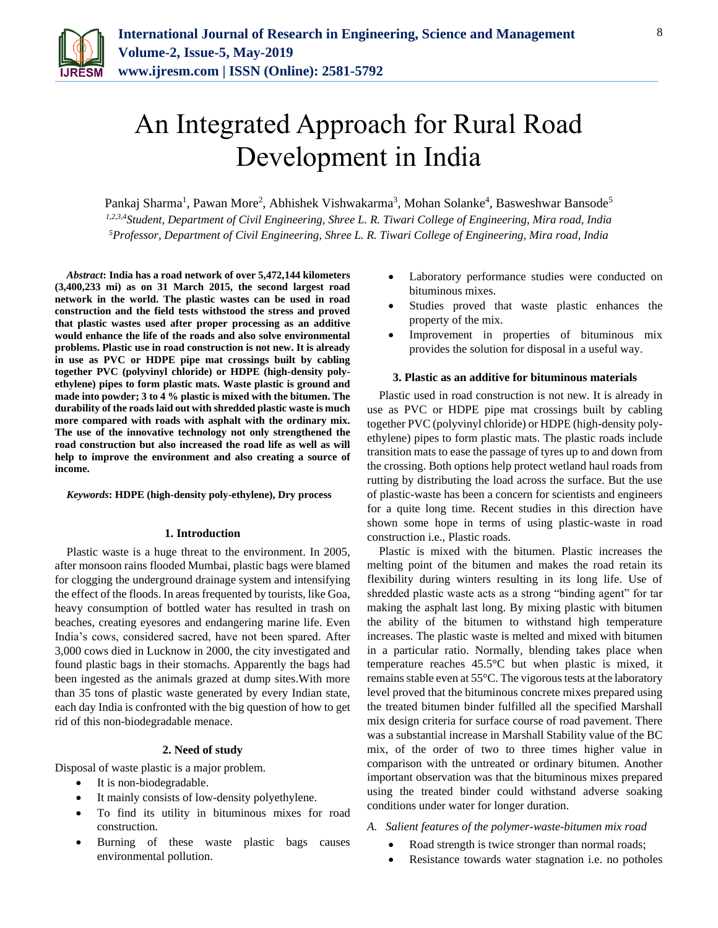

# An Integrated Approach for Rural Road Development in India

Pankaj Sharma<sup>1</sup>, Pawan More<sup>2</sup>, Abhishek Vishwakarma<sup>3</sup>, Mohan Solanke<sup>4</sup>, Basweshwar Bansode<sup>5</sup> *1,2,3,4Student, Department of Civil Engineering, Shree L. R. Tiwari College of Engineering, Mira road, India <sup>5</sup>Professor, Department of Civil Engineering, Shree L. R. Tiwari College of Engineering, Mira road, India*

*Abstract***: India has a road network of over 5,472,144 kilometers (3,400,233 mi) as on 31 March 2015, the second largest road network in the world. The plastic wastes can be used in road construction and the field tests withstood the stress and proved that plastic wastes used after proper processing as an additive would enhance the life of the roads and also solve environmental problems. Plastic use in road construction is not new. It is already in use as PVC or HDPE pipe mat crossings built by cabling together PVC (polyvinyl chloride) or HDPE (high-density polyethylene) pipes to form plastic mats. Waste plastic is ground and made into powder; 3 to 4 % plastic is mixed with the bitumen. The durability of the roads laid out with shredded plastic waste is much more compared with roads with asphalt with the ordinary mix. The use of the innovative technology not only strengthened the road construction but also increased the road life as well as will help to improve the environment and also creating a source of income.**

*Keywords***: HDPE (high-density poly-ethylene), Dry process**

#### **1. Introduction**

Plastic waste is a huge threat to the environment. In 2005, after monsoon rains flooded Mumbai, plastic bags were blamed for clogging the underground drainage system and intensifying the effect of the floods. In areas frequented by tourists, like Goa, heavy consumption of bottled water has resulted in trash on beaches, creating eyesores and endangering marine life. Even India's cows, considered sacred, have not been spared. After 3,000 cows died in Lucknow in 2000, the city investigated and found plastic bags in their stomachs. Apparently the bags had been ingested as the animals grazed at dump sites.With more than 35 tons of plastic waste generated by every Indian state, each day India is confronted with the big question of how to get rid of this non-biodegradable menace.

#### **2. Need of study**

Disposal of waste plastic is a major problem.

- It is non-biodegradable.
- It mainly consists of low-density polyethylene.
- To find its utility in bituminous mixes for road construction.
- Burning of these waste plastic bags causes environmental pollution.
- Laboratory performance studies were conducted on bituminous mixes.
- Studies proved that waste plastic enhances the property of the mix.
- Improvement in properties of bituminous mix provides the solution for disposal in a useful way.

#### **3. Plastic as an additive for bituminous materials**

Plastic used in road construction is not new. It is already in use as PVC or HDPE pipe mat crossings built by cabling together PVC (polyvinyl chloride) or HDPE (high-density polyethylene) pipes to form plastic mats. The plastic roads include transition mats to ease the passage of tyres up to and down from the crossing. Both options help protect wetland haul roads from rutting by distributing the load across the surface. But the use of plastic-waste has been a concern for scientists and engineers for a quite long time. Recent studies in this direction have shown some hope in terms of using plastic-waste in road construction i.e., Plastic roads.

Plastic is mixed with the bitumen. Plastic increases the melting point of the bitumen and makes the road retain its flexibility during winters resulting in its long life. Use of shredded plastic waste acts as a strong "binding agent" for tar making the asphalt last long. By mixing plastic with bitumen the ability of the bitumen to withstand high temperature increases. The plastic waste is melted and mixed with bitumen in a particular ratio. Normally, blending takes place when temperature reaches 45.5°C but when plastic is mixed, it remains stable even at 55°C. The vigorous tests at the laboratory level proved that the bituminous concrete mixes prepared using the treated bitumen binder fulfilled all the specified Marshall mix design criteria for surface course of road pavement. There was a substantial increase in Marshall Stability value of the BC mix, of the order of two to three times higher value in comparison with the untreated or ordinary bitumen. Another important observation was that the bituminous mixes prepared using the treated binder could withstand adverse soaking conditions under water for longer duration.

#### *A. Salient features of the polymer-waste-bitumen mix road*

- Road strength is twice stronger than normal roads;
- Resistance towards water stagnation *i.e.* no potholes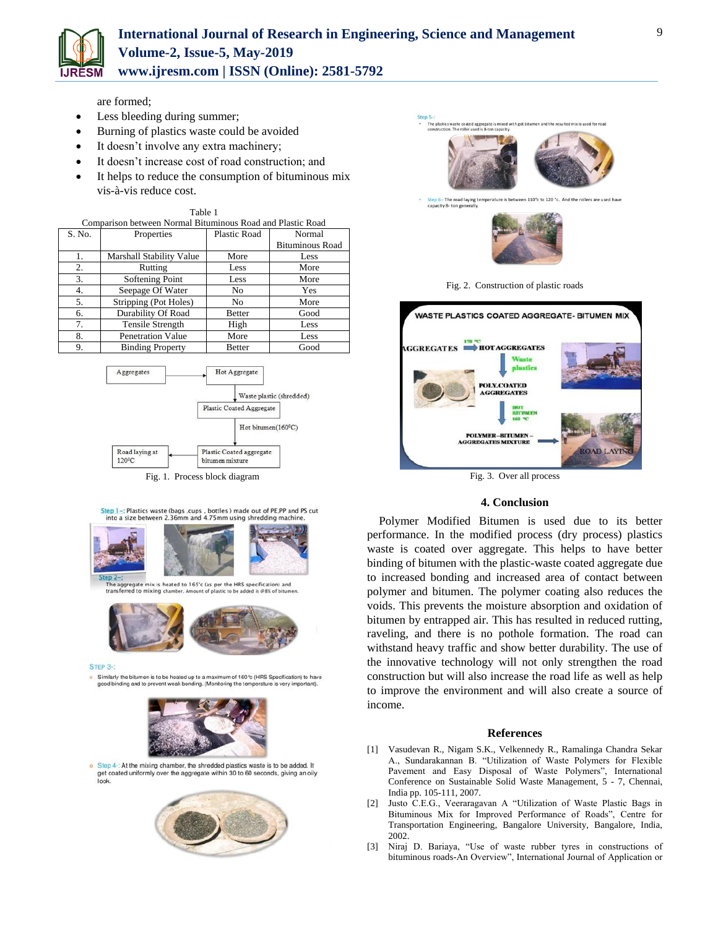

are formed;

- Less bleeding during summer;
- Burning of plastics waste could be avoided
- It doesn't involve any extra machinery;
- It doesn't increase cost of road construction; and

Table 1

 It helps to reduce the consumption of bituminous mix vis-à-vis reduce cost.

| Comparison between Normal Bituminous Road and Plastic Road |                                 |               |                        |
|------------------------------------------------------------|---------------------------------|---------------|------------------------|
| S. No.                                                     | Properties                      | Plastic Road  | Normal                 |
|                                                            |                                 |               | <b>Bituminous Road</b> |
| 1.                                                         | <b>Marshall Stability Value</b> | More          | Less                   |
| 2.                                                         | Rutting                         | Less          | More                   |
| 3.                                                         | Softening Point                 | Less          | More                   |
| 4.                                                         | Seepage Of Water                | No            | Yes                    |
| 5.                                                         | Stripping (Pot Holes)           | No            | More                   |
| 6.                                                         | Durability Of Road              | <b>Better</b> | Good                   |
| 7.                                                         | Tensile Strength                | High          | Less                   |
| 8.                                                         | <b>Penetration Value</b>        | More          | Less                   |
| 9.                                                         | <b>Binding Property</b>         | <b>Better</b> | Good                   |



Step 1-: Plastics waste (bags , cups , bottles ) made out of PE, PP and PS cut into a size between 2.36mm and 4.75mm using shredding machine.



aggregate mix is heated to 165°c (as per the HRS specification) and<br>isferred to mixing chamber. Amount of plastic to be added is @8% of bitum



STEP 3-

Similarly the bitumen is to be heated up to a maximum of 160°c (HRS Specification) to have<br>good binding and to prevent weak bonding. (Monitoring the temperature is very important).



o Step 4-: At the mixing chamber, the shredded plastics waste is to be added. It get coated uniformly over the aggregate within 30 to 60 seconds, giving an oily look.







## Fig. 3. Over all process

### **4. Conclusion**

Polymer Modified Bitumen is used due to its better performance. In the modified process (dry process) plastics waste is coated over aggregate. This helps to have better binding of bitumen with the plastic-waste coated aggregate due to increased bonding and increased area of contact between polymer and bitumen. The polymer coating also reduces the voids. This prevents the moisture absorption and oxidation of bitumen by entrapped air. This has resulted in reduced rutting, raveling, and there is no pothole formation. The road can withstand heavy traffic and show better durability. The use of the innovative technology will not only strengthen the road construction but will also increase the road life as well as help to improve the environment and will also create a source of income.

#### **References**

- [1] Vasudevan R., Nigam S.K., Velkennedy R., Ramalinga Chandra Sekar A., Sundarakannan B. "Utilization of Waste Polymers for Flexible Pavement and Easy Disposal of Waste Polymers", International Conference on Sustainable Solid Waste Management, 5 - 7, Chennai, India pp. 105-111, 2007.
- [2] Justo C.E.G., Veeraragavan A "Utilization of Waste Plastic Bags in Bituminous Mix for Improved Performance of Roads", Centre for Transportation Engineering, Bangalore University, Bangalore, India, 2002.
- [3] Niraj D. Bariaya, "Use of waste rubber tyres in constructions of bituminous roads-An Overview", International Journal of Application or